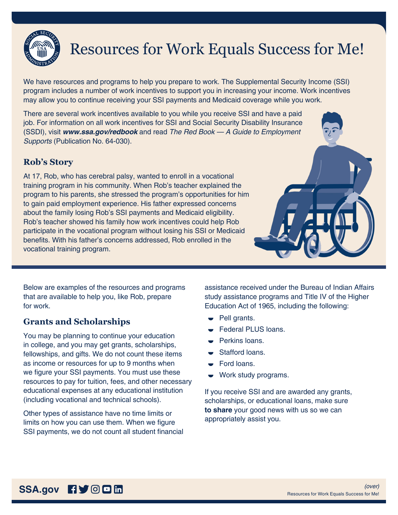

# Resources for Work Equals Success for Me!

We have resources and programs to help you prepare to work. The Supplemental Security Income (SSI) program includes a number of work incentives to support you in increasing your income. Work incentives may allow you to continue receiving your SSI payments and Medicaid coverage while you work.

There are several work incentives available to you while you receive SSI and have a paid job. For information on all work incentives for SSI and Social Security Disability Insurance (SSDI), visit *[www.ssa.gov/redbook](https://www.ssa.gov/redbook)* and read *The Red Book — A Guide to Employment Supports* (Publication No. 64-030).

# **Rob's Story**

At 17, Rob, who has cerebral palsy, wanted to enroll in a vocational training program in his community. When Rob's teacher explained the program to his parents, she stressed the program's opportunities for him to gain paid employment experience. His father expressed concerns about the family losing Rob's SSI payments and Medicaid eligibility. Rob's teacher showed his family how work incentives could help Rob participate in the vocational program without losing his SSI or Medicaid benefits. With his father's concerns addressed, Rob enrolled in the vocational training program.



Below are examples of the resources and programs that are available to help you, like Rob, prepare for work.

# **Grants and Scholarships**

You may be planning to continue your education in college, and you may get grants, scholarships, fellowships, and gifts. We do not count these items as income or resources for up to 9 months when we figure your SSI payments. You must use these resources to pay for tuition, fees, and other necessary educational expenses at any educational institution (including vocational and technical schools).

Other types of assistance have no time limits or limits on how you can use them. When we figure SSI payments, we do not count all student financial assistance received under the Bureau of Indian Affairs study assistance programs and Title IV of the Higher Education Act of 1965, including the following:

- **Pell grants.**
- **Federal PLUS loans.**
- **Perkins loans.**
- Stafford loans.
- **Ford loans.**
- **Work study programs.**

If you receive SSI and are awarded any grants, scholarships, or educational loans, make sure **to share** your good news with us so we can appropriately assist you.